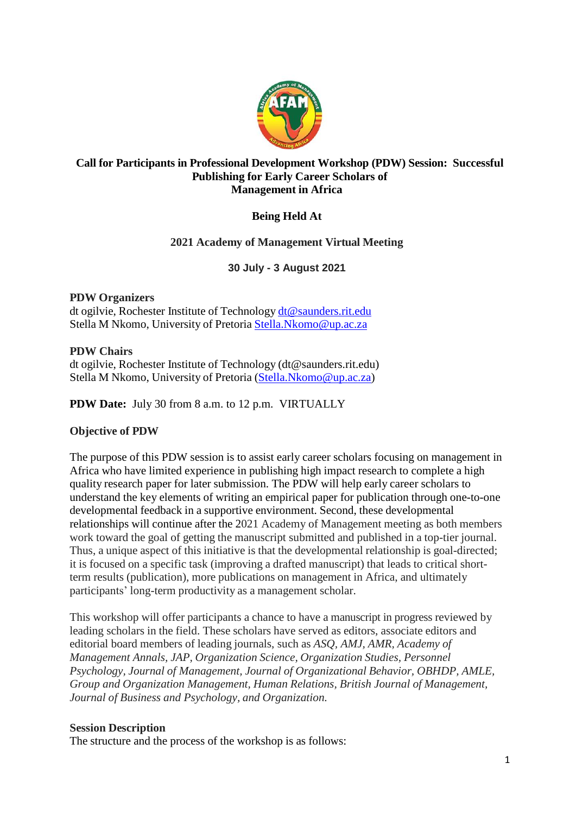

# **Call for Participants in Professional Development Workshop (PDW) Session: Successful Publishing for Early Career Scholars of Management in Africa**

# **Being Held At**

## **2021 Academy of Management Virtual Meeting**

**30 July - 3 August 2021**

## **PDW Organizers**

dt ogilvie, Rochester Institute of Technology [dt@saunders.rit.edu](mailto:dt@saunders.rit.edu) Stella M Nkomo, University of Pretoria [Stella.Nkomo@up.ac.za](mailto:Stella.Nkomo@up.ac.za)

## **PDW Chairs**

dt ogilvie, Rochester Institute of Technology (dt@saunders.rit.edu) Stella M Nkomo, University of Pretoria [\(Stella.Nkomo@up.ac.za\)](mailto:Stella.Nkomo@up.ac.za)

**PDW Date:** July 30 from 8 a.m. to 12 p.m. VIRTUALLY

## **Objective of PDW**

The purpose of this PDW session is to assist early career scholars focusing on management in Africa who have limited experience in publishing high impact research to complete a high quality research paper for later submission. The PDW will help early career scholars to understand the key elements of writing an empirical paper for publication through one-to-one developmental feedback in a supportive environment. Second, these developmental relationships will continue after the 2021 Academy of Management meeting as both members work toward the goal of getting the manuscript submitted and published in a top-tier journal. Thus, a unique aspect of this initiative is that the developmental relationship is goal-directed; it is focused on a specific task (improving a drafted manuscript) that leads to critical shortterm results (publication), more publications on management in Africa, and ultimately participants' long-term productivity as a management scholar.

This workshop will offer participants a chance to have a manuscript in progress reviewed by leading scholars in the field. These scholars have served as editors, associate editors and editorial board members of leading journals, such as *ASQ, AMJ, AMR, Academy of Management Annals, JAP, Organization Science, Organization Studies, Personnel Psychology, Journal of Management, Journal of Organizational Behavior, OBHDP, AMLE, Group and Organization Management, Human Relations, British Journal of Management, Journal of Business and Psychology, and Organization.*

#### **Session Description**

The structure and the process of the workshop is as follows: